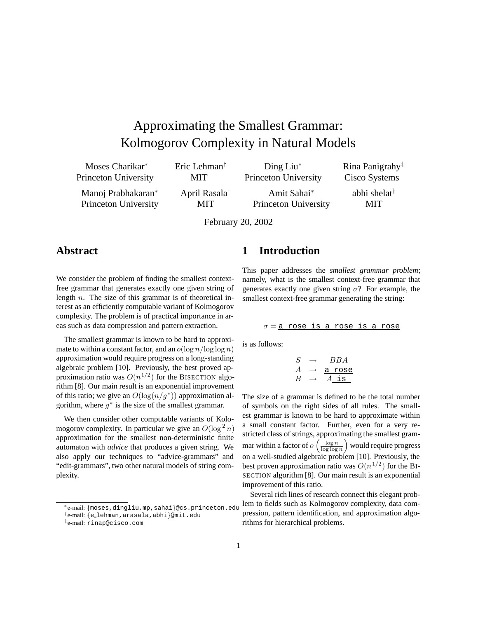# Approximating the Smallest Grammar: Kolmogorov Complexity in Natural Models

| Moses Charikar*      | Eric Lehman <sup>†</sup>  | $\text{Ding Liu}^*$  | Rina Panigrahy <sup>‡</sup> |
|----------------------|---------------------------|----------------------|-----------------------------|
| Princeton University | MIT.                      | Princeton University | Cisco Systems               |
| Manoj Prabhakaran*   | April Rasala <sup>†</sup> | Amit Sahai*          | abhi shelat <sup>†</sup>    |
| Princeton University | MIT                       | Princeton University | <b>MIT</b>                  |

February 20, 2002

## **Abstract**

We consider the problem of finding the smallest contextfree grammar that generates exactly one given string of length  $n$ . The size of this grammar is of theoretical interest as an efficiently computable variant of Kolmogorov complexity. The problem is of practical importance in areas such as data compression and pattern extraction.

The smallest grammar is known to be hard to approximate to within a constant factor, and an  $o(\log n / \log \log n)$ approximation would require progress on a long-standing algebraic problem [10]. Previously, the best proved approximation ratio was  $O(n^{1/2})$  for the BISECTION algorithm [8]. Our main result is an exponential improvement of this ratio; we give an  $O(\log(n/q^*))$  approximation algorithm, where  $q^*$  is the size of the smallest grammar.

We then consider other computable variants of Kolomogorov complexity. In particular we give an  $O(\log^2 n)$ <br>approximation for the smallest non-deterministic finite approximation for the smallest non-deterministic finite automaton with *advice* that produces a given string. We also apply our techniques to "advice-grammars" and "edit-grammars", two other natural models of string complexity.

## **1 Introduction**

This paper addresses the *smallest grammar problem*; namely, what is the smallest context-free grammar that generates exactly one given string  $\sigma$ ? For example, the smallest context-free grammar generating the string:

$$
\sigma = \frac{a \text{ rose is a rose is a rose}}{a \text{rose}}
$$

is as follows:

$$
\begin{array}{rcl} S & \rightarrow & BBA \\ A & \rightarrow & \underline{a \text{ rose}} \\ B & \rightarrow & A \underline{\text{ is }} \end{array}
$$

The size of a grammar is defined to be the total number of symbols on the right sides of all rules. The smallest grammar is known to be hard to approximate within a small constant factor. Further, even for a very restricted class of strings, approximating the smallest grammar within a factor of  $o\left(\frac{\log n}{\log \log n}\right)$  would require progress on a well-studied algebraic problem [10]. Previously, the best proven approximation ratio was  $O(n^{1/2})$  for the BI-SECTION algorithm [8]. Our main result is an exponential improvement of this ratio.

Several rich lines of research connect this elegant problem to fields such as Kolmogorov complexity, data compression, pattern identification, and approximation algorithms for hierarchical problems.

<sup>∗</sup>e-mail: {moses,dingliu,mp,sahai}@cs.princeton.edu

<sup>†</sup>e-mail: {e lehman,arasala,abhi}@mit.edu

<sup>‡</sup>e-mail: rinap@cisco.com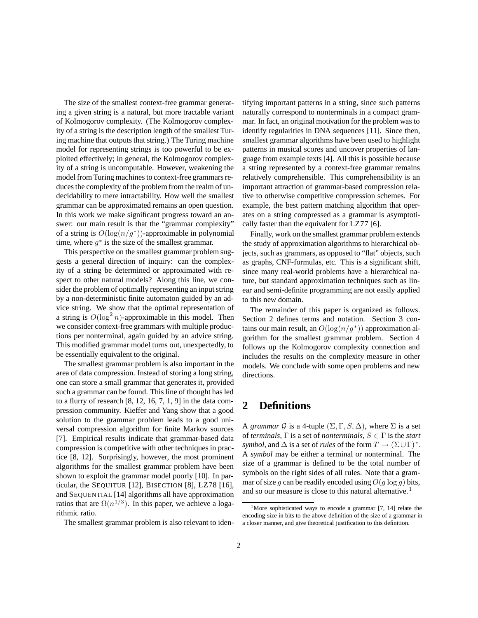The size of the smallest context-free grammar generating a given string is a natural, but more tractable variant of Kolmogorov complexity. (The Kolmogorov complexity of a string is the description length of the smallest Turing machine that outputs that string.) The Turing machine model for representing strings is too powerful to be exploited effectively; in general, the Kolmogorov complexity of a string is uncomputable. However, weakening the model from Turing machines to context-free grammars reduces the complexity of the problem from the realm of undecidability to mere intractability. How well the smallest grammar can be approximated remains an open question. In this work we make significant progress toward an answer: our main result is that the "grammar complexity" of a string is  $O(\log(n/g^*))$ -approximable in polynomial time, where  $q^*$  is the size of the smallest grammar.

This perspective on the smallest grammar problem suggests a general direction of inquiry: can the complexity of a string be determined or approximated with respect to other natural models? Along this line, we consider the problem of optimally representing an input string by a non-deterministic finite automaton guided by an advice string. We show that the optimal representation of a string is  $O(\log^2 n)$ -approximable in this model. Then<br>we consider context-free grammars with multiple producwe consider context-free grammars with multiple productions per nonterminal, again guided by an advice string. This modified grammar model turns out, unexpectedly, to be essentially equivalent to the original.

The smallest grammar problem is also important in the area of data compression. Instead of storing a long string, one can store a small grammar that generates it, provided such a grammar can be found. This line of thought has led to a flurry of research  $[8, 12, 16, 7, 1, 9]$  in the data compression community. Kieffer and Yang show that a good solution to the grammar problem leads to a good universal compression algorithm for finite Markov sources [7]. Empirical results indicate that grammar-based data compression is competitive with other techniques in practice [8, 12]. Surprisingly, however, the most prominent algorithms for the smallest grammar problem have been shown to exploit the grammar model poorly [10]. In particular, the SEQUITUR [12], BISECTION [8], LZ78 [16], and SEQUENTIAL [14] algorithms all have approximation ratios that are  $\Omega(n^{1/3})$ . In this paper, we achieve a logarithmic ratio.

The smallest grammar problem is also relevant to iden-

tifying important patterns in a string, since such patterns naturally correspond to nonterminals in a compact grammar. In fact, an original motivation for the problem was to identify regularities in DNA sequences [11]. Since then, smallest grammar algorithms have been used to highlight patterns in musical scores and uncover properties of language from example texts [4]. All this is possible because a string represented by a context-free grammar remains relatively comprehensible. This comprehensibility is an important attraction of grammar-based compression relative to otherwise competitive compression schemes. For example, the best pattern matching algorithm that operates on a string compressed as a grammar is asymptotically faster than the equivalent for LZ77 [6].

Finally, work on the smallest grammar problem extends the study of approximation algorithms to hierarchical objects, such as grammars, as opposed to "flat" objects, such as graphs, CNF-formulas, etc. This is a significant shift, since many real-world problems have a hierarchical nature, but standard approximation techniques such as linear and semi-definite programming are not easily applied to this new domain.

The remainder of this paper is organized as follows. Section 2 defines terms and notation. Section 3 contains our main result, an  $O(\log(n/g^*))$  approximation algorithm for the smallest grammar problem. Section 4 follows up the Kolmogorov complexity connection and includes the results on the complexity measure in other models. We conclude with some open problems and new directions.

# **2 Definitions**

A *grammar* G is a 4-tuple  $(\Sigma, \Gamma, S, \Delta)$ , where  $\Sigma$  is a set of *terminals*, Γ is a set of *nonterminals*, <sup>S</sup> <sup>∈</sup> Γ is the *start symbol*, and  $\Delta$  is a set of *rules* of the form  $T \to (\Sigma \cup \Gamma)^*$ . A *symbol* may be either a terminal or nonterminal. The size of a grammar is defined to be the total number of symbols on the right sides of all rules. Note that a grammar of size q can be readily encoded using  $O(q \log q)$  bits, and so our measure is close to this natural alternative.<sup>1</sup>

<sup>&</sup>lt;sup>1</sup>More sophisticated ways to encode a grammar [7, 14] relate the encoding size in bits to the above definition of the size of a grammar in a closer manner, and give theoretical justification to this definition.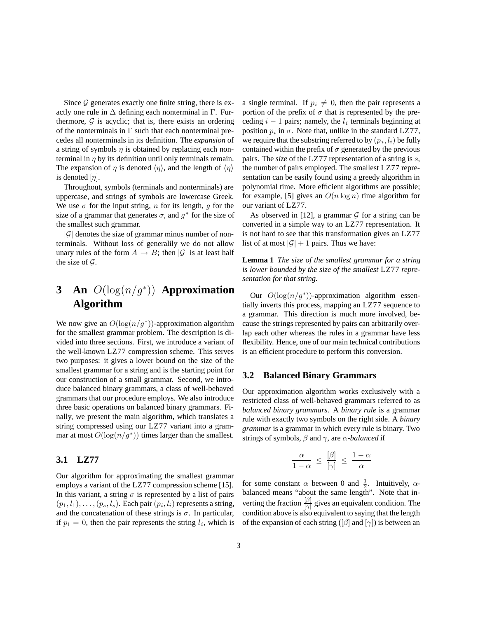Since  $G$  generates exactly one finite string, there is exactly one rule in  $\Delta$  defining each nonterminal in  $\Gamma$ . Furthermore,  $G$  is acyclic; that is, there exists an ordering of the nonterminals in  $\Gamma$  such that each nonterminal precedes all nonterminals in its definition. The *expansion* of a string of symbols  $\eta$  is obtained by replacing each nonterminal in  $\eta$  by its definition until only terminals remain. The expansion of  $\eta$  is denoted  $\langle \eta \rangle$ , and the length of  $\langle \eta \rangle$ is denoted  $[n]$ .

Throughout, symbols (terminals and nonterminals) are uppercase, and strings of symbols are lowercase Greek. We use  $\sigma$  for the input string, n for its length, g for the size of a grammar that generates  $\sigma$ , and  $g^*$  for the size of the smallest such grammar.

 $|\mathcal{G}|$  denotes the size of grammar minus number of nonterminals. Without loss of generalily we do not allow unary rules of the form  $A \to B$ ; then  $|\mathcal{G}|$  is at least half the size of  $\mathcal{G}$ .

# **3 An** *O*(log(*n/g*<sup>∗</sup>)) **Approximation Algorithm**

We now give an  $O(\log(n/g^*))$ -approximation algorithm for the smallest grammar problem. The description is divided into three sections. First, we introduce a variant of the well-known LZ77 compression scheme. This serves two purposes: it gives a lower bound on the size of the smallest grammar for a string and is the starting point for our construction of a small grammar. Second, we introduce balanced binary grammars, a class of well-behaved grammars that our procedure employs. We also introduce three basic operations on balanced binary grammars. Finally, we present the main algorithm, which translates a string compressed using our LZ77 variant into a grammar at most  $O(\log(n/g^*))$  times larger than the smallest.

## **3.1 LZ77**

Our algorithm for approximating the smallest grammar employs a variant of the LZ77 compression scheme [15]. In this variant, a string  $\sigma$  is represented by a list of pairs  $(p_1, l_1), \ldots, (p_s, l_s)$ . Each pair  $(p_i, l_i)$  represents a string, and the concatenation of these strings is  $\sigma$ . In particular, if  $p_i = 0$ , then the pair represents the string  $l_i$ , which is a single terminal. If  $p_i \neq 0$ , then the pair represents a portion of the prefix of  $\sigma$  that is represented by the preceding  $i - 1$  pairs; namely, the  $l_i$  terminals beginning at position  $p_i$  in  $\sigma$ . Note that, unlike in the standard LZ77, we require that the substring referred to by  $(p_i, l_i)$  be fully contained within the prefix of  $\sigma$  generated by the previous pairs. The *size* of the LZ77 representation of a string is s, the number of pairs employed. The smallest LZ77 representation can be easily found using a greedy algorithm in polynomial time. More efficient algorithms are possible; for example, [5] gives an  $O(n \log n)$  time algorithm for our variant of LZ77.

As observed in [12], a grammar  $G$  for a string can be converted in a simple way to an LZ77 representation. It is not hard to see that this transformation gives an LZ77 list of at most  $|\mathcal{G}| + 1$  pairs. Thus we have:

**Lemma 1** *The size of the smallest grammar for a string is lower bounded by the size of the smallest* LZ77 *representation for that string.*

Our  $O(\log(n/g^*))$ -approximation algorithm essentially inverts this process, mapping an LZ77 sequence to a grammar. This direction is much more involved, because the strings represented by pairs can arbitrarily overlap each other whereas the rules in a grammar have less flexibility. Hence, one of our main technical contributions is an efficient procedure to perform this conversion.

#### **3.2 Balanced Binary Grammars**

Our approximation algorithm works exclusively with a restricted class of well-behaved grammars referred to as *balanced binary grammars*. A *binary rule* is a grammar rule with exactly two symbols on the right side. A *binary grammar* is a grammar in which every rule is binary. Two strings of symbols,  $\beta$  and  $\gamma$ , are  $\alpha$ -*balanced* if

$$
\frac{\alpha}{1-\alpha} \le \frac{[\beta]}{[\gamma]} \le \frac{1-\alpha}{\alpha}
$$

for some constant  $\alpha$  between 0 and  $\frac{1}{2}$ . Intuitively,  $\alpha$ -<br>balanced means "about the same length". Note that inbalanced means "about the same length". Note that inverting the fraction  $\frac{p}{|\gamma|}$  gives an equivalent condition. The condition above is also equivalent to saying that the length condition above is also equivalent to saying that the length of the expansion of each string ( $\beta$  and  $\gamma$ ) is between an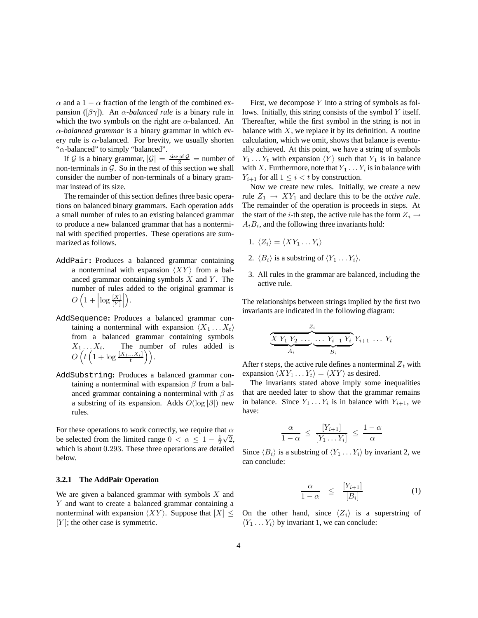$\alpha$  and a 1 –  $\alpha$  fraction of the length of the combined expansion ([βγ]). An <sup>α</sup>*-balanced rule* is a binary rule in which the two symbols on the right are  $\alpha$ -balanced. An α*-balanced grammar* is a binary grammar in which every rule is  $\alpha$ -balanced. For brevity, we usually shorten " $\alpha$ -balanced" to simply "balanced".

If G is a binary grammar,  $|G| = \frac{\text{size of } G}{2}$  = number of n-terminals in G. So in the rest of this section we shall non-terminals in  $G$ . So in the rest of this section we shall consider the number of non-terminals of a binary grammar instead of its size.

The remainder of this section defines three basic operations on balanced binary grammars. Each operation adds a small number of rules to an existing balanced grammar to produce a new balanced grammar that has a nonterminal with specified properties. These operations are summarized as follows.

AddPair**:** Produces a balanced grammar containing a nonterminal with expansion  $\langle XY \rangle$  from a balanced grammar containing symbols  $X$  and  $Y$ . The number of rules added to the original grammar is  $O\left(\frac{1}{2}\right)$ 1 +  $\left|\log\frac{[X]}{[Y]}\right|$ - .

 $\mathbf{y}$ 

- AddSequence**:** Produces a balanced grammar containing a nonterminal with expansion  $\langle X_1 \dots X_t \rangle$ from a balanced grammar containing symbols  $X_1 \ldots X_t$ . The number of rules added is  $O\left(t\left(1 + \log \frac{[X_1...X_t]}{t}\right)\right).$
- AddSubstring**:** Produces a balanced grammar containing a nonterminal with expansion  $\beta$  from a balanced grammar containing a nonterminal with  $\beta$  as a substring of its expansion. Adds  $O(\log |\beta|)$  new rules.

For these operations to work correctly, we require that  $\alpha$ be selected from the limited range  $0 < \alpha \leq 1 - \frac{1}{2}\sqrt{2}$ ,<br>which is about 0.203. These three operations are detailed which is about 0.293. These three operations are detailed<br>helow below.

#### **3.2.1 The AddPair Operation**

We are given a balanced grammar with symbols  $X$  and Y and want to create a balanced grammar containing a nonterminal with expansion  $\langle XY \rangle$ . Suppose that  $|X| \leq$  $[Y]$ ; the other case is symmetric.

First, we decompose  $Y$  into a string of symbols as follows. Initially, this string consists of the symbol Y itself. Thereafter, while the first symbol in the string is not in balance with  $X$ , we replace it by its definition. A routine calculation, which we omit, shows that balance is eventually achieved. At this point, we have a string of symbols  $Y_1 \ldots Y_t$  with expansion  $\langle Y \rangle$  such that  $Y_1$  is in balance with X. Furthermore, note that  $Y_1 \ldots Y_i$  is in balance with  $Y_{i+1}$  for all  $1 \leq i < t$  by construction.

Now we create new rules. Initially, we create a new rule  $Z_1 \rightarrow XY_1$  and declare this to be the *active rule*. The remainder of the operation is proceeds in steps. At the start of the *i*-th step, the active rule has the form  $Z_i \rightarrow$  $A_iB_i$ , and the following three invariants hold:

- 1.  $\langle Z_i \rangle = \langle XY_1 \dots Y_i \rangle$
- 2.  $\langle B_i \rangle$  is a substring of  $\langle Y_1 \dots Y_i \rangle$ .
- 3. All rules in the grammar are balanced, including the active rule.

The relationships between strings implied by the first two invariants are indicated in the following diagram:

$$
\underbrace{\overbrace{X Y_1 Y_2 \dots \dots \dots Y_{i-1} Y_i}_{A_i} Y_{i+1} \dots Y_t}_{B_i}
$$

After t steps, the active rule defines a nonterminal  $Z_t$  with expansion  $\langle XY_1 \dots Y_t \rangle = \langle XY \rangle$  as desired.

The invariants stated above imply some inequalities that are needed later to show that the grammar remains in balance. Since  $Y_1 \ldots Y_i$  is in balance with  $Y_{i+1}$ , we have:

$$
\frac{\alpha}{1-\alpha} \le \frac{[Y_{i+1}]}{[Y_1 \dots Y_i]} \le \frac{1-\alpha}{\alpha}
$$

Since  $\langle B_i \rangle$  is a substring of  $\langle Y_1 \dots Y_i \rangle$  by invariant 2, we can conclude:

$$
\frac{\alpha}{1-\alpha} \leq \frac{[Y_{i+1}]}{[B_i]}
$$
 (1)

On the other hand, since  $\langle Z_i \rangle$  is a superstring of  $\langle Y_1 \dots Y_i \rangle$  by invariant 1, we can conclude: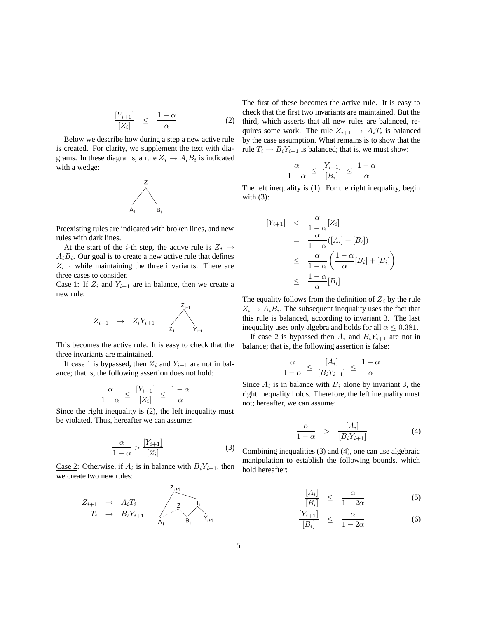$$
\frac{[Y_{i+1}]}{[Z_i]} \leq \frac{1-\alpha}{\alpha} \tag{2}
$$

Below we describe how during a step a new active rule is created. For clarity, we supplement the text with diagrams. In these diagrams, a rule  $Z_i \rightarrow A_i B_i$  is indicated with a wedge:



Preexisting rules are indicated with broken lines, and new rules with dark lines.

At the start of the *i*-th step, the active rule is  $Z_i \rightarrow$  $A_iB_i$ . Our goal is to create a new active rule that defines  $Z_{i+1}$  while maintaining the three invariants. There are three cases to consider.

Case 1: If  $Z_i$  and  $Y_{i+1}$  are in balance, then we create a new rule:

$$
Z_{i+1} \rightarrow Z_i Y_{i+1} \qquad \qquad \searrow
$$

This becomes the active rule. It is easy to check that the three invariants are maintained.

If case 1 is bypassed, then  $Z_i$  and  $Y_{i+1}$  are not in balance; that is, the following assertion does not hold:

$$
\frac{\alpha}{1-\alpha} \le \frac{[Y_{i+1}]}{[Z_i]} \le \frac{1-\alpha}{\alpha}
$$

 $\frac{1-\alpha}{1-\alpha} \leq \frac{Z_i}{Z_i} \leq \frac{\alpha}{\alpha}$ <br>Since the right inequality is (2), the left inequality must be violated. Thus, hereafter we can assume:

$$
\frac{\alpha}{1-\alpha} > \frac{[Y_{i+1}]}{[Z_i]}
$$
 (3)

Case 2: Otherwise, if  $A_i$  is in balance with  $B_i Y_{i+1}$ , then we create two new rules:



The first of these becomes the active rule. It is easy to check that the first two invariants are maintained. But the third, which asserts that all new rules are balanced, requires some work. The rule  $Z_{i+1} \rightarrow A_i T_i$  is balanced by the case assumption. What remains is to show that the rule  $T_i \rightarrow B_i Y_{i+1}$  is balanced; that is, we must show:

$$
\frac{\alpha}{1-\alpha} \ \leq \ \frac{[Y_{i+1}]}{[B_i]} \ \leq \ \frac{1-\alpha}{\alpha}
$$

 $\frac{1 - \alpha}{1 - \alpha} \leq \frac{|B_i|}{\alpha} \leq \frac{\alpha}{\alpha}$ <br>The left inequality is (1). For the right inequality, begin with  $(3)$ :

$$
[Y_{i+1}] \leq \frac{\alpha}{1-\alpha}[Z_i]
$$
  
= 
$$
\frac{\alpha}{1-\alpha}([A_i] + [B_i])
$$
  

$$
\leq \frac{\alpha}{1-\alpha} \left( \frac{1-\alpha}{\alpha}[B_i] + [B_i] \right)
$$
  

$$
\leq \frac{1-\alpha}{\alpha}[B_i]
$$

The equality follows from the definition of  $Z_i$  by the rule  $Z_i \rightarrow A_i B_i$ . The subsequent inequality uses the fact that this rule is balanced, according to invariant 3. The last inequality uses only algebra and holds for all  $\alpha \leq 0.381$ .

If case 2 is bypassed then  $A_i$  and  $B_iY_{i+1}$  are not in balance; that is, the following assertion is false:

$$
\frac{\alpha}{1-\alpha} \le \frac{[A_i]}{[B_i Y_{i+1}]} \le \frac{1-\alpha}{\alpha}
$$

Since  $A_i$  is in balance with  $B_i$  alone by invariant 3, the sight inconsist inconsist right inequality holds. Therefore, the left inequality must not; hereafter, we can assume:

$$
\frac{\alpha}{1-\alpha} > \frac{[A_i]}{[B_i Y_{i+1}]}
$$
 (4)

Combining inequalities (3) and (4), one can use algebraic manipulation to establish the following bounds, which hold hereafter:

$$
\frac{[A_i]}{[B_i]} \le \frac{\alpha}{1 - 2\alpha} \tag{5}
$$

$$
\frac{[Y_{i+1}]}{[B_i]} \leq \frac{\alpha}{1-2\alpha} \tag{6}
$$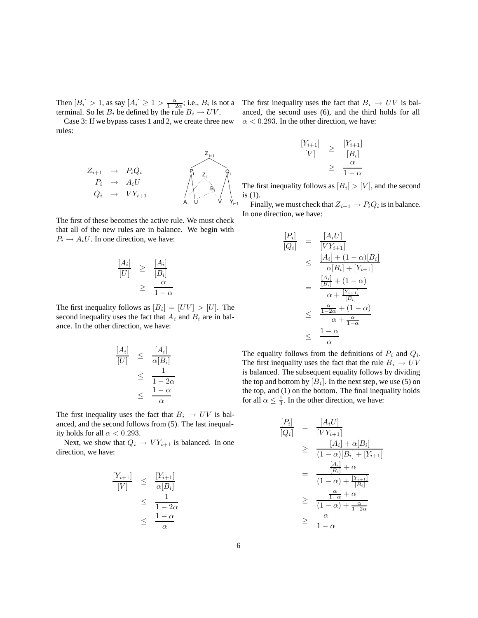Then  $[B_i] > 1$ , as say  $[A_i] \ge 1 > \frac{\alpha}{1-2\alpha}$ ; i.e.,  $B_i$  is not a terminal. So let  $B_i$  be defined by the rule  $B_i \rightarrow I/V$ terminal. So let  $B_i$  be defined by the rule  $B_i \to UV$ .

Case 3: If we bypass cases 1 and 2, we create three new rules:



The first of these becomes the active rule. We must check that all of the new rules are in balance. We begin with  $P_i \rightarrow A_i U$ . In one direction, we have:

$$
\frac{[A_i]}{[U]} \ge \frac{[A_i]}{[B_i]}
$$
  

$$
\ge \frac{\alpha}{1-\alpha}
$$

The first inequality follows as  $[B_i]=[UV] > [U]$ . The second inequality uses the fact that  $A_i$  and  $B_i$  are in balance. In the other direction, we have:

$$
\begin{array}{rcl} [A_i] & \leq & \frac{[A_i]}{\alpha [B_i]} \\ & \leq & \frac{1}{1 - 2\alpha} \\ & \leq & \frac{1 - \alpha}{\alpha} \end{array}
$$

The first inequality uses the fact that  $B_i \rightarrow UV$  is balanced, and the second follows from (5). The last inequality holds for all  $\alpha < 0.293$ .

Next, we show that  $Q_i \rightarrow V Y_{i+1}$  is balanced. In one direction, we have:

$$
\frac{[Y_{i+1}]}{[V]} \le \frac{[Y_{i+1}]}{\alpha[B_i]}
$$
  

$$
\le \frac{1}{1-2\alpha}
$$
  

$$
\le \frac{1-\alpha}{\alpha}
$$

The first inequality uses the fact that  $B_i \rightarrow UV$  is balanced, the second uses (6), and the third holds for all  $\alpha$  < 0.293. In the other direction, we have:

$$
\frac{[Y_{i+1}]}{[V]} \ge \frac{[Y_{i+1}]}{[B_i]}
$$

$$
\ge \frac{\alpha}{1-\alpha}
$$

The first inequality follows as  $[B_i] > [V]$ , and the second is (1) is (1).

Finally, we must check that  $Z_{i+1} \to P_i Q_i$  is in balance. In one direction, we have:

$$
\frac{[P_i]}{[Q_i]} = \frac{[A_i U]}{[VY_{i+1}]}
$$
\n
$$
\leq \frac{[A_i] + (1 - \alpha)[B_i]}{\alpha[B_i] + [Y_{i+1}]}
$$
\n
$$
= \frac{\frac{[A_i]}{[B_i]} + (1 - \alpha)}{\alpha + \frac{[Y_{i+1}]}{[B_i]}}
$$
\n
$$
\leq \frac{\frac{\alpha}{1 - 2\alpha} + (1 - \alpha)}{\alpha + \frac{\alpha}{1 - \alpha}}
$$
\n
$$
\leq \frac{1 - \alpha}{\alpha}
$$

The equality follows from the definitions of  $P_i$  and  $Q_i$ . The first inequality uses the fact that the rule  $B_i \to UV$ is balanced. The subsequent equality follows by dividing the top and bottom by  $[B_i]$ . In the next step, we use (5) on the top, and (1) on the bottom. The final inequality holds for all  $\alpha \leq \frac{1}{3}$ . In the other direction, we have:

$$
\frac{[P_i]}{[Q_i]} = \frac{[A_i U]}{[VY_{i+1}]}
$$
\n
$$
\geq \frac{[A_i] + \alpha [B_i]}{(1 - \alpha)[B_i] + [Y_{i+1}]}
$$
\n
$$
= \frac{\frac{[A_i]}{[B_i]} + \alpha}{(1 - \alpha) + \frac{[Y_{i+1}]}{[B_i]}}
$$
\n
$$
\geq \frac{\frac{\alpha}{1 - \alpha} + \alpha}{(1 - \alpha) + \frac{\alpha}{1 - 2\alpha}}
$$
\n
$$
\geq \frac{\alpha}{1 - \alpha}
$$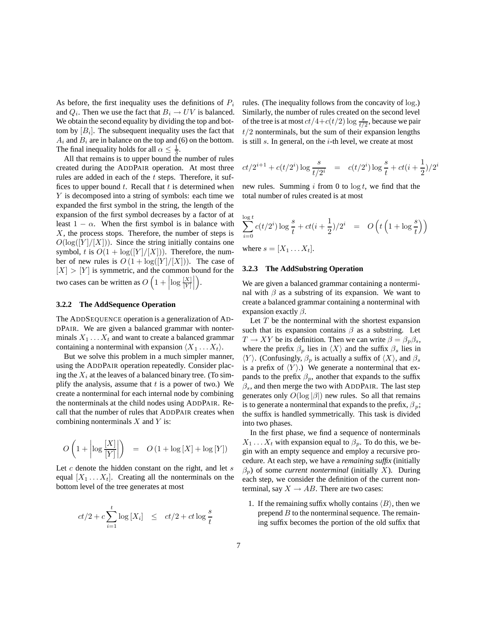As before, the first inequality uses the definitions of  $P_i$ and  $Q_i$ . Then we use the fact that  $B_i \to UV$  is balanced. We obtain the second equality by dividing the top and bottom by  $[B_i]$ . The subsequent inequality uses the fact that  $A_i$  and  $B_i$  are in balance on the top and (6) on the bottom. The final inequality holds for all  $\alpha \leq \frac{1}{3}$ .<br>All that remains is to unner bound the

All that remains is to upper bound the number of rules created during the ADDPAIR operation. At most three rules are added in each of the t steps. Therefore, it suffices to upper bound  $t$ . Recall that  $t$  is determined when Y is decomposed into a string of symbols: each time we expanded the first symbol in the string, the length of the expansion of the first symbol decreases by a factor of at least  $1 - \alpha$ . When the first symbol is in balance with  $X$ , the process stops. Therefore, the number of steps is  $O(\log(|Y|/|X|))$ . Since the string initially contains one symbol, t is  $O(1 + \log([Y]/[X]))$ . Therefore, the number of new rules is  $O(1 + \log(|Y|/|X|))$ . The case of  $|X| > |Y|$  is symmetric, and the common bound for the two cases can be written as  $O(n)$ 1 +  $\left|\log\frac{[X]}{[Y]}\right|$  $\ddot{\phantom{0}}$ - .

#### **3.2.2 The AddSequence Operation**

The ADDSEQUENCE operation is a generalization of AD-DPAIR. We are given a balanced grammar with nonterminals  $X_1 \ldots X_t$  and want to create a balanced grammar containing a nonterminal with expansion  $\langle X_1 \dots X_t \rangle$ .

But we solve this problem in a much simpler manner, using the ADDPAIR operation repeatedly. Consider placing the  $X_i$  at the leaves of a balanced binary tree. (To simplify the analysis, assume that  $t$  is a power of two.) We create a nonterminal for each internal node by combining the nonterminals at the child nodes using ADDPAIR. Recall that the number of rules that ADDPAIR creates when combining nonterminals  $X$  and  $Y$  is:

$$
O\left(1 + \left|\log\frac{[X]}{[Y]}\right|\right) = O\left(1 + \log|X| + \log|Y|\right)
$$

Let  $c$  denote the hidden constant on the right, and let  $s$ equal  $[X_1 \ldots X_t]$ . Creating all the nonterminals on the bottom level of the tree generates at most

$$
ct/2 + c\sum_{i=1}^{t} \log [X_i] \le ct/2 + ct\log \frac{s}{t}
$$

rules. (The inequality follows from the concavity of log.) Similarly, the number of rules created on the second level of the tree is at most  $ct/4 + c(t/2) \log \frac{s}{t/2}$ , because we pair<br> $t/2$  pontaminals, but the sum of their ayongion lengths  $t/2$  nonterminals, but the sum of their expansion lengths is still  $s$ . In general, on the  $i$ -th level, we create at most

$$
ct/2^{i+1} + c(t/2^i) \log \frac{s}{t/2^i} = c(t/2^i) \log \frac{s}{t} + ct(i + \frac{1}{2})/2^i
$$

new rules. Summing i from 0 to  $\log t$ , we find that the total number of rules created is at most

$$
\sum_{i=0}^{\log t} c(t/2^i) \log \frac{s}{t} + ct(i + \frac{1}{2})/2^i = O\left(t\left(1 + \log \frac{s}{t}\right)\right)
$$
  
where  $s = [X_1 \dots X_t].$ 

#### **3.2.3 The AddSubstring Operation**

We are given a balanced grammar containing a nonterminal with  $\beta$  as a substring of its expansion. We want to create a balanced grammar containing a nonterminal with expansion exactly  $\beta$ .

Let  $T$  be the nonterminal with the shortest expansion such that its expansion contains  $\beta$  as a substring. Let  $T \to XY$  be its definition. Then we can write  $\beta = \beta_p \beta_s$ , where the prefix  $\beta_p$  lies in  $\langle X \rangle$  and the suffix  $\beta_s$  lies in  $\langle Y \rangle$ . (Confusingly,  $\beta_p$  is actually a suffix of  $\langle X \rangle$ , and  $\beta_s$ is a prefix of  $\langle Y \rangle$ .) We generate a nonterminal that expands to the prefix  $\beta_p$ , another that expands to the suffix  $\beta_s$ , and then merge the two with ADDPAIR. The last step generates only  $O(\log |\beta|)$  new rules. So all that remains is to generate a nonterminal that expands to the prefix,  $\beta_p$ ; the suffix is handled symmetrically. This task is divided into two phases.

In the first phase, we find a sequence of nonterminals  $X_1 \ldots X_t$  with expansion equal to  $\beta_p$ . To do this, we begin with an empty sequence and employ a recursive procedure. At each step, we have a *remaining suffix* (initially  $\beta_p$ ) of some *current nonterminal* (initially X). During each step, we consider the definition of the current nonterminal, say  $X \rightarrow AB$ . There are two cases:

1. If the remaining suffix wholly contains  $\langle B \rangle$ , then we prepend  $B$  to the nonterminal sequence. The remaining suffix becomes the portion of the old suffix that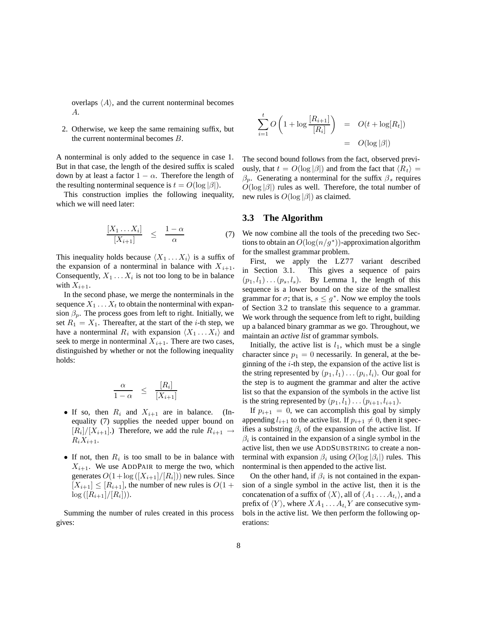overlaps  $\langle A \rangle$ , and the current nonterminal becomes A.

2. Otherwise, we keep the same remaining suffix, but the current nonterminal becomes B.

A nonterminal is only added to the sequence in case 1. But in that case, the length of the desired suffix is scaled down by at least a factor  $1 - \alpha$ . Therefore the length of the resulting nonterminal sequence is  $t = O(\log |\beta|)$ .

This construction implies the following inequality, which we will need later:

$$
\frac{[X_1 \dots X_i]}{[X_{i+1}]} \leq \frac{1-\alpha}{\alpha} \tag{7}
$$

This inequality holds because  $\langle X_1 \dots X_i \rangle$  is a suffix of the expansion of a nonterminal in balance with  $X_{i+1}$ . Consequently,  $X_1 \ldots X_i$  is not too long to be in balance with  $X_{i+1}$ .

In the second phase, we merge the nonterminals in the sequence  $X_1 \ldots X_t$  to obtain the nonterminal with expansion  $\beta_p$ . The process goes from left to right. Initially, we set  $R_1 = X_1$ . Thereafter, at the start of the *i*-th step, we have a nonterminal  $R_i$  with expansion  $\langle X_1 \dots X_i \rangle$  and seek to merge in nonterminal  $X_{i+1}$ . There are two cases, distinguished by whether or not the following inequality holds:

$$
\frac{\alpha}{1-\alpha} \leq \frac{[R_i]}{[X_{i+1}]}
$$

- If so, then  $R_i$  and  $X_{i+1}$  are in balance. (Inequality (7) supplies the needed upper bound on  $[R_i]/[X_{i+1}]$ .) Therefore, we add the rule  $R_{i+1} \rightarrow$  $R_iX_{i+1}$ .
- If not, then  $R_i$  is too small to be in balance with  $X_{i+1}$ . We use ADDPAIR to merge the two, which generates  $O(1 + \log ([X_{i+1}]/[R_i]))$  new rules. Since  $[X_{i+1}] \leq [R_{i+1}]$ , the number of new rules is  $O(1 +$  $log ([R_{i+1}]/[R_i])$ .

Summing the number of rules created in this process gives:

$$
\sum_{i=1}^{t} O\left(1 + \log \frac{[R_{i+1}]}{[R_i]}\right) = O(t + \log[R_t])
$$

$$
= O(\log |\beta|)
$$

The second bound follows from the fact, observed previously, that  $t = O(\log |\beta|)$  and from the fact that  $\langle R_t \rangle =$  $\beta_n$ . Generating a nonterminal for the suffix  $\beta_s$  requires  $O(\log |\beta|)$  rules as well. Therefore, the total number of new rules is  $O(\log |\beta|)$  as claimed.

#### **3.3 The Algorithm**

We now combine all the tools of the preceding two Sections to obtain an  $O(\log(n/g^*))$ -approximation algorithm for the smallest grammar problem.

First, we apply the LZ77 variant described in Section 3.1. This gives a sequence of pairs  $(p_1, l_1) \dots (p_s, l_s)$ . By Lemma 1, the length of this sequence is a lower bound on the size of the smallest grammar for  $\sigma$ ; that is,  $s \leq q^*$ . Now we employ the tools of Section 3.2 to translate this sequence to a grammar. We work through the sequence from left to right, building up a balanced binary grammar as we go. Throughout, we maintain an *active list* of grammar symbols.

Initially, the active list is  $l_1$ , which must be a single character since  $p_1 = 0$  necessarily. In general, at the beginning of the  $i$ -th step, the expansion of the active list is the string represented by  $(p_1, l_1) \dots (p_i, l_i)$ . Our goal for the step is to augment the grammar and alter the active list so that the expansion of the symbols in the active list is the string represented by  $(p_1, l_1) \dots (p_{i+1}, l_{i+1}).$ 

If  $p_{i+1} = 0$ , we can accomplish this goal by simply appending  $l_{i+1}$  to the active list. If  $p_{i+1} \neq 0$ , then it specifies a substring  $\beta_i$  of the expansion of the active list. If  $\beta_i$  is contained in the expansion of a single symbol in the active list, then we use ADDSUBSTRING to create a nonterminal with expansion  $\beta_i$  using  $O(\log |\beta_i|)$  rules. This nonterminal is then appended to the active list.

On the other hand, if  $\beta_i$  is not contained in the expansion of a single symbol in the active list, then it is the concatenation of a suffix of  $\langle X \rangle$ , all of  $\langle A_1 \dots A_{t_i} \rangle$ , and a prefix of  $\langle Y \rangle$ , where  $XA_1 \dots A_t$ <sup>Y</sup> are consecutive symbols in the active list. We then perform the following operations: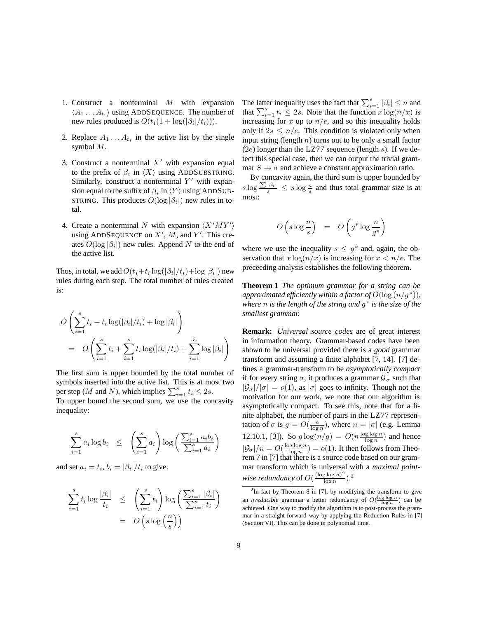- 1. Construct a nonterminal  $M$  with expansion  $\langle A_1 \dots A_{t_i} \rangle$  using ADDSEQUENCE. The number of new rules produced is  $O(t_i(1 + \log(|\beta_i|/t_i))).$
- 2. Replace  $A_1 \ldots A_{t_i}$  in the active list by the single symbol M.
- 3. Construct a nonterminal  $X'$  with expansion equal to the prefix of  $\beta_i$  in  $\langle X \rangle$  using ADDSUBSTRING. Similarly, construct a nonterminal  $Y'$  with expansion equal to the suffix of  $\beta_i$  in  $\langle Y \rangle$  using ADDSUB-STRING. This produces  $O(\log |\beta_i|)$  new rules in total.
- 4. Create a nonterminal N with expansion  $\langle X'MY' \rangle$ using ADDSEQUENCE on  $X'$ ,  $M$ , and  $Y'$ . This creates  $O(\log |\beta_i|)$  new rules. Append N to the end of the active list.

Thus, in total, we add  $O(t_i+t_i \log(|\beta_i|/t_i)+\log|\beta_i|)$  new rules during each step. The total number of rules created is:

$$
O\left(\sum_{i=1}^s t_i + t_i \log(|\beta_i|/t_i) + \log|\beta_i|\right)
$$
  
= 
$$
O\left(\sum_{i=1}^s t_i + \sum_{i=1}^s t_i \log(|\beta_i|/t_i) + \sum_{i=1}^s \log|\beta_i|\right)
$$

The first sum is upper bounded by the total number of symbols inserted into the active list. This is at most two per step (*M* and *N*), which implies  $\sum_{i=1}^{s} t_i \leq 2s$ .<br>To unper bound the second sum, we use the con-

To upper bound the second sum, we use the concavity inequality:

$$
\sum_{i=1}^{s} a_i \log b_i \le \left(\sum_{i=1}^{s} a_i\right) \log \left(\frac{\sum_{i=1}^{s} a_i b_i}{\sum_{i=1}^{s} a_i}\right)
$$

and set  $a_i = t_i$ ,  $b_i = |\beta_i|/t_i$  to give:

$$
\sum_{i=1}^{s} t_i \log \frac{|\beta_i|}{t_i} \leq \left(\sum_{i=1}^{s} t_i\right) \log \left(\frac{\sum_{i=1}^{s} |\beta_i|}{\sum_{i=1}^{s} t_i}\right)
$$

$$
= O\left(s \log \left(\frac{n}{s}\right)\right)
$$

The latter inequality uses the fact that  $\sum_{i=1}^{s} |\beta_i| \leq n$  and that  $\sum_{i=1}^{s} |f \cdot \beta_i| \leq n$ . Note that the function  $x \log(n/x)$  is that  $\sum_{i=1}^{s} t_i \leq 2s$ . Note that the function  $x \log(n/x)$  is<br>increasing for x up to  $n/e$  and so this inequality holds increasing for  $x$  up to  $n/e$ , and so this inequality holds only if  $2s \leq n/e$ . This condition is violated only when input string (length  $n$ ) turns out to be only a small factor  $(2e)$  longer than the LZ77 sequence (length s). If we detect this special case, then we can output the trivial grammar  $S \rightarrow \sigma$  and achieve a constant approximation ratio.

By concavity again, the third sum is upper bounded by  $s \log \frac{\sum |\beta_i|}{s} \leq s \log \frac{n}{s}$  and thus total grammar size is at most: most:

$$
O\left(s\log\frac{n}{s}\right) = O\left(g^*\log\frac{n}{g^*}\right)
$$

where we use the inequality  $s \leq q^*$  and, again, the observation that  $x \log(n/x)$  is increasing for  $x < n/e$ . The preceeding analysis establishes the following theorem.

**Theorem 1** *The optimum grammar for a string can be approximated efficiently within a factor of*  $O(\log (n/q^*))$ *, where* n *is the length of the string and* g<sup>∗</sup> *is the size of the smallest grammar.*

**Remark:** *Universal source codes* are of great interest in information theory. Grammar-based codes have been shown to be universal provided there is a *good* grammar transform and assuming a finite alphabet [7, 14]. [7] defines a grammar-transform to be *asymptotically compact* if for every string  $\sigma$ , it produces a grammar  $\mathcal{G}_{\sigma}$  such that  $|\mathcal{G}_{\sigma}|/|\sigma| = o(1)$ , as  $|\sigma|$  goes to infinity. Though not the motivation for our work, we note that our algorithm is asymptotically compact. To see this, note that for a finite alphabet, the number of pairs in the LZ77 representation of  $\sigma$  is  $g = O(\frac{n}{\log n})$ , where  $n = |\sigma|$  (e.g. Lemma 12.10.1, [3]). So  $g \log(n/g) = O(n \frac{\log \log n}{\log n})$  and hence  $|\mathcal{G}_{\sigma}|/n = O(\frac{\log \log n}{\log n}) = o(1)$ . It then follows from Theorem 7 in [7] that there is a source code based on our grammar transform which is universal with a *maximal pointwise redundancy* of  $O(\frac{(\log \log n)^2}{\log n})^2$ .

 $2$ In fact by Theorem 8 in [7], by modifying the transform to give an *irreducible* grammar a better redundancy of  $O(\frac{\log \log n}{\log n})$  can be achieved. One way to modify the algorithm is to not-process the gram. achieved. One way to modify the algorithm is to post-process the grammar in a straight-forward way by applying the Reduction Rules in [7] (Section VI). This can be done in polynomial time.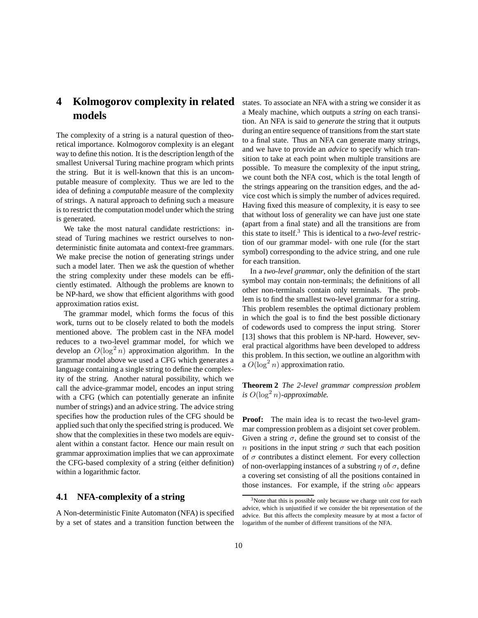# **4 Kolmogorov complexity in related models**

The complexity of a string is a natural question of theoretical importance. Kolmogorov complexity is an elegant way to define this notion. It is the description length of the smallest Universal Turing machine program which prints the string. But it is well-known that this is an uncomputable measure of complexity. Thus we are led to the idea of defining a *computable* measure of the complexity of strings. A natural approach to defining such a measure is to restrict the computation model under which the string is generated.

We take the most natural candidate restrictions: instead of Turing machines we restrict ourselves to nondeterministic finite automata and context-free grammars. We make precise the notion of generating strings under such a model later. Then we ask the question of whether the string complexity under these models can be efficiently estimated. Although the problems are known to be NP-hard, we show that efficient algorithms with good approximation ratios exist.

The grammar model, which forms the focus of this work, turns out to be closely related to both the models mentioned above. The problem cast in the NFA model reduces to a two-level grammar model, for which we develop an  $O(\log^2 n)$  approximation algorithm. In the grammar model above we used a CEG which generates a grammar model above we used a CFG which generates a language containing a single string to define the complexity of the string. Another natural possibility, which we call the advice-grammar model, encodes an input string with a CFG (which can potentially generate an infinite number of strings) and an advice string. The advice string specifies how the production rules of the CFG should be applied such that only the specified string is produced. We show that the complexities in these two models are equivalent within a constant factor. Hence our main result on grammar approximation implies that we can approximate the CFG-based complexity of a string (either definition) within a logarithmic factor.

#### **4.1 NFA-complexity of a string**

A Non-deterministic Finite Automaton (NFA) is specified by a set of states and a transition function between the states. To associate an NFA with a string we consider it as a Mealy machine, which outputs a *string* on each transition. An NFA is said to *generate* the string that it outputs during an entire sequence of transitions from the start state to a final state. Thus an NFA can generate many strings, and we have to provide an *advice* to specify which transition to take at each point when multiple transitions are possible. To measure the complexity of the input string, we count both the NFA cost, which is the total length of the strings appearing on the transition edges, and the advice cost which is simply the number of advices required. Having fixed this measure of complexity, it is easy to see that without loss of generality we can have just one state (apart from a final state) and all the transitions are from this state to itself.<sup>3</sup> This is identical to a *two-level* restriction of our grammar model- with one rule (for the start symbol) corresponding to the advice string, and one rule for each transition.

In a *two-level grammar*, only the definition of the start symbol may contain non-terminals; the definitions of all other non-terminals contain only terminals. The problem is to find the smallest two-level grammar for a string. This problem resembles the optimal dictionary problem in which the goal is to find the best possible dictionary of codewords used to compress the input string. Storer [13] shows that this problem is NP-hard. However, several practical algorithms have been developed to address this problem. In this section, we outline an algorithm with a  $O(\log^2 n)$  approximation ratio.

**Theorem 2** *The 2-level grammar compression problem*  $\int$ *is*  $O(\log^2 n)$ *-approximable.* 

**Proof:** The main idea is to recast the two-level grammar compression problem as a disjoint set cover problem. Given a string  $\sigma$ , define the ground set to consist of the n positions in the input string  $\sigma$  such that each position of  $\sigma$  contributes a distinct element. For every collection of non-overlapping instances of a substring  $\eta$  of  $\sigma$ , define a covering set consisting of all the positions contained in those instances. For example, if the string abc appears

 $3$ Note that this is possible only because we charge unit cost for each advice, which is unjustified if we consider the bit representation of the advice. But this affects the complexity measure by at most a factor of logarithm of the number of different transitions of the NFA.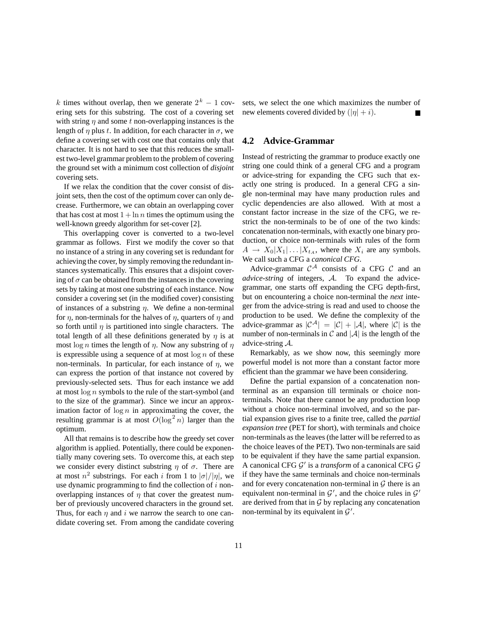k times without overlap, then we generate  $2^k - 1$  covering sets for this substring. The cost of a covering set with string  $\eta$  and some t non-overlapping instances is the length of  $\eta$  plus t. In addition, for each character in  $\sigma$ , we define a covering set with cost one that contains only that character. It is not hard to see that this reduces the smallest two-level grammar problem to the problem of covering the ground set with a minimum cost collection of *disjoint* covering sets.

If we relax the condition that the cover consist of disjoint sets, then the cost of the optimum cover can only decrease. Furthermore, we can obtain an overlapping cover that has cost at most  $1 + \ln n$  times the optimum using the well-known greedy algorithm for set-cover [2].

This overlapping cover is converted to a two-level grammar as follows. First we modify the cover so that no instance of a string in any covering set is redundant for achieving the cover, by simply removing the redundant instances systematically. This ensures that a disjoint covering of  $\sigma$  can be obtained from the instances in the covering sets by taking at most one substring of each instance. Now consider a covering set (in the modified cover) consisting of instances of a substring  $\eta$ . We define a non-terminal for  $\eta$ , non-terminals for the halves of  $\eta$ , quarters of  $\eta$  and so forth until  $\eta$  is partitioned into single characters. The total length of all these definitions generated by  $\eta$  is at most  $\log n$  times the length of  $\eta$ . Now any substring of  $\eta$ is expressible using a sequence of at most  $\log n$  of these non-terminals. In particular, for each instance of  $\eta$ , we can express the portion of that instance not covered by previously-selected sets. Thus for each instance we add at most log <sup>n</sup> symbols to the rule of the start-symbol (and to the size of the grammar). Since we incur an approximation factor of  $\log n$  in approximating the cover, the resulting grammar is at most  $O(\log^2 n)$  larger than the optimum optimum.

All that remains is to describe how the greedy set cover algorithm is applied. Potentially, there could be exponentially many covering sets. To overcome this, at each step we consider every distinct substring  $\eta$  of  $\sigma$ . There are at most  $n^2$  substrings. For each i from 1 to  $|\sigma|/|\eta|$ , we use dynamic programming to find the collection of  $i$  nonoverlapping instances of  $\eta$  that cover the greatest number of previously uncovered characters in the ground set. Thus, for each  $\eta$  and i we narrow the search to one candidate covering set. From among the candidate covering sets, we select the one which maximizes the number of new elements covered divided by  $(|\eta| + i)$ .

## **4.2 Advice-Grammar**

Instead of restricting the grammar to produce exactly one string one could think of a general CFG and a program or advice-string for expanding the CFG such that exactly one string is produced. In a general CFG a single non-terminal may have many production rules and cyclic dependencies are also allowed. With at most a constant factor increase in the size of the CFG, we restrict the non-terminals to be of one of the two kinds: concatenation non-terminals, with exactly one binary production, or choice non-terminals with rules of the form  $A \rightarrow X_0 | X_1 | \dots | X_{t_A}$ , where the  $X_i$  are any symbols. We call such a CFG a *canonical CFG*.

Advice-grammar  $C^{\mathcal{A}}$  consists of a CFG C and an *advice-string* of integers, A. To expand the advicegrammar, one starts off expanding the CFG depth-first, but on encountering a choice non-terminal the *next* integer from the advice-string is read and used to choose the production to be used. We define the complexity of the advice-grammar as  $|C^{\mathcal{A}}| = |C| + |\mathcal{A}|$ , where  $|C|$  is the number of non-terminals in  $\mathcal C$  and  $|\mathcal A|$  is the length of the advice-string A.

Remarkably, as we show now, this seemingly more powerful model is not more than a constant factor more efficient than the grammar we have been considering.

Define the partial expansion of a concatenation nonterminal as an expansion till terminals or choice nonterminals. Note that there cannot be any production loop without a choice non-terminal involved, and so the partial expansion gives rise to a finite tree, called the *partial expansion tree* (PET for short), with terminals and choice non-terminals as the leaves (the latter will be referred to as the choice leaves of the PET). Two non-terminals are said to be equivalent if they have the same partial expansion. A canonical CFG  $\mathcal{G}'$  is a *transform* of a canonical CFG  $\mathcal{G}$ if they have the same terminals and choice non-terminals and for every concatenation non-terminal in  $G$  there is an equivalent non-terminal in  $\mathcal{G}'$ , and the choice rules in  $\mathcal{G}'$ are derived from that in  $G$  by replacing any concatenation non-terminal by its equivalent in  $\mathcal{G}'$ .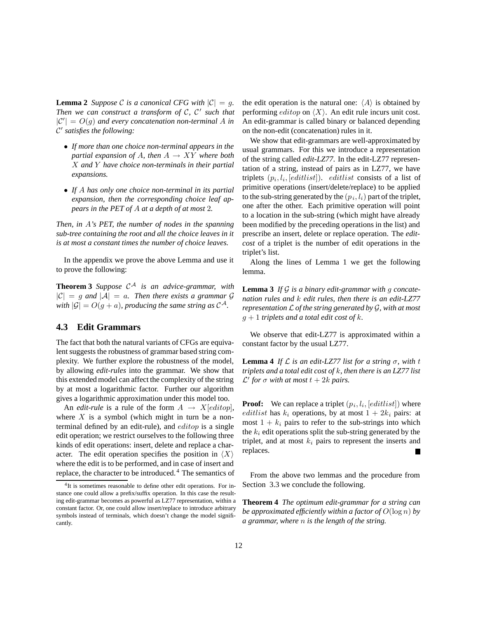**Lemma 2** *Suppose* C *is a canonical CFG with*  $|C| = q$ *. Then we can construct a transform of C, C' such that*  $|C'| = O(g)$  and every concatenation non-terminal A in  $C'$  satisfies the following: C- *satisfies the following:*

- *If more than one choice non-terminal appears in the partial expansion of A, then*  $A \rightarrow XY$  *where both* X *and* Y *have choice non-terminals in their partial expansions.*
- *If* A *has only one choice non-terminal in its partial expansion, then the corresponding choice leaf appears in the PET of* <sup>A</sup> *at a depth of at most* 2*.*

*Then, in* A*'s PET, the number of nodes in the spanning sub-tree containing the root and all the choice leaves in it is at most a constant times the number of choice leaves.*

In the appendix we prove the above Lemma and use it to prove the following:

**Theorem 3** Suppose  $C^A$  is an advice-grammar, with  $|C| = g$  *and*  $|A| = a$ . Then there exists a grammar G *with*  $|\mathcal{G}| = O(g + a)$ *, producing the same string as*  $C^{\mathcal{A}}$ *.* 

#### **4.3 Edit Grammars**

The fact that both the natural variants of CFGs are equivalent suggests the robustness of grammar based string complexity. We further explore the robustness of the model, by allowing *edit-rules* into the grammar. We show that this extended model can affect the complexity of the string by at most a logarithmic factor. Further our algorithm gives a logarithmic approximation under this model too.

An *edit-rule* is a rule of the form  $A \rightarrow X[editop]$ , where  $X$  is a symbol (which might in turn be a nonterminal defined by an edit-rule), and editop is a single edit operation; we restrict ourselves to the following three kinds of edit operations: insert, delete and replace a character. The edit operation specifies the position in  $\langle X \rangle$ where the edit is to be performed, and in case of insert and replace, the character to be introduced. <sup>4</sup> The semantics of the edit operation is the natural one:  $\langle A \rangle$  is obtained by performing *editop* on  $\langle X \rangle$ . An edit rule incurs unit cost. An edit-grammar is called binary or balanced depending on the non-edit (concatenation) rules in it.

We show that edit-grammars are well-approximated by usual grammars. For this we introduce a representation of the string called *edit-LZ77*. In the edit-LZ77 representation of a string, instead of pairs as in LZ77, we have triplets  $(p_i, l_i, [editlist])$ . *editlist* consists of a list of primitive operations (insert/delete/replace) to be applied to the sub-string generated by the  $(p_i, l_i)$  part of the triplet, one after the other. Each primitive operation will point to a location in the sub-string (which might have already been modified by the preceding operations in the list) and prescribe an insert, delete or replace operation. The *editcost* of a triplet is the number of edit operations in the triplet's list.

Along the lines of Lemma 1 we get the following lemma.

**Lemma 3** *If* G *is a binary edit-grammar with* g *concatenation rules and* k *edit rules, then there is an edit-LZ77 representation* L *of the string generated by* G*, with at most* <sup>g</sup> + 1 *triplets and a total edit cost of* <sup>k</sup>*.*

We observe that edit-LZ77 is approximated within a constant factor by the usual LZ77.

**Lemma 4** *If*  $\mathcal{L}$  *is an edit-LZ77 list for a string*  $\sigma$ *, with t triplets and a total edit cost of* k*, then there is an LZ77 list*  $\mathcal{L}'$  for  $\sigma$  with at most  $t + 2k$  pairs.

**Proof:** We can replace a triplet  $(p_i, l_i, [editlist])$  where editlist has  $k_i$  operations, by at most  $1+2k_i$  pairs: at most  $1 + k_i$  pairs to refer to the sub-strings into which the  $k_i$  edit operations split the sub-string generated by the triplet, and at most  $k_i$  pairs to represent the inserts and replaces.

From the above two lemmas and the procedure from Section 3.3 we conclude the following.

**Theorem 4** *The optimum edit-grammar for a string can be approximated efficiently within a factor of*  $O(\log n)$  *by a grammar, where* n *is the length of the string.*

<sup>&</sup>lt;sup>4</sup>It is sometimes reasonable to define other edit operations. For instance one could allow a prefix/suffix operation. In this case the resulting edit-grammar becomes as powerful as LZ77 representation, within a constant factor. Or, one could allow insert/replace to introduce arbitrary symbols instead of terminals, which doesn't change the model significantly.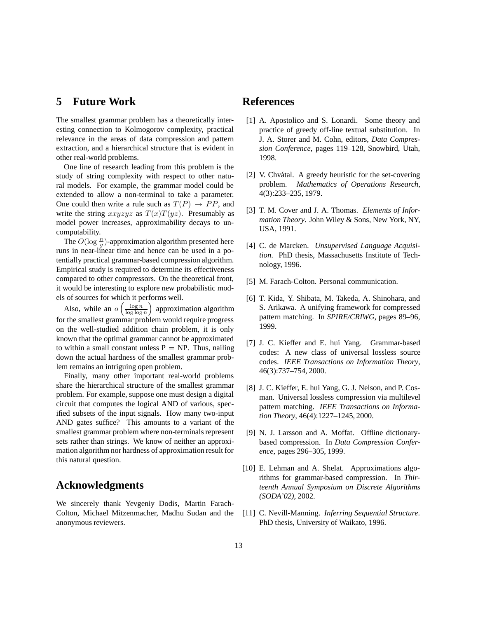## **5 Future Work**

The smallest grammar problem has a theoretically interesting connection to Kolmogorov complexity, practical relevance in the areas of data compression and pattern extraction, and a hierarchical structure that is evident in other real-world problems.

One line of research leading from this problem is the study of string complexity with respect to other natural models. For example, the grammar model could be extended to allow a non-terminal to take a parameter. One could then write a rule such as  $T(P) \rightarrow PP$ , and write the string  $xxyzyz$  as  $T(x)T(yz)$ . Presumably as model power increases, approximability decays to uncomputability.

The  $O(\log \frac{n}{g})$ -approximation algorithm presented here<br>as in near-linear time and hence can be used in a poruns in near-linear time and hence can be used in a potentially practical grammar-based compression algorithm. Empirical study is required to determine its effectiveness compared to other compressors. On the theoretical front, it would be interesting to explore new probabilistic models of sources for which it performs well.

Also, while an  $o\left(\frac{\log n}{\log \log n}\right)$  approximation algorithm for the smallest grammar problem would require progress on the well-studied addition chain problem, it is only known that the optimal grammar cannot be approximated to within a small constant unless  $P = NP$ . Thus, nailing down the actual hardness of the smallest grammar problem remains an intriguing open problem.

Finally, many other important real-world problems share the hierarchical structure of the smallest grammar problem. For example, suppose one must design a digital circuit that computes the logical AND of various, specified subsets of the input signals. How many two-input AND gates suffice? This amounts to a variant of the smallest grammar problem where non-terminals represent sets rather than strings. We know of neither an approximation algorithm nor hardness of approximation result for this natural question.

## **Acknowledgments**

We sincerely thank Yevgeniy Dodis, Martin Farach-Colton, Michael Mitzenmacher, Madhu Sudan and the anonymous reviewers.

## **References**

- [1] A. Apostolico and S. Lonardi. Some theory and practice of greedy off-line textual substitution. In J. A. Storer and M. Cohn, editors, *Data Compression Conference*, pages 119–128, Snowbird, Utah, 1998.
- [2] V. Chvátal. A greedy heuristic for the set-covering problem. *Mathematics of Operations Research*, 4(3):233–235, 1979.
- [3] T. M. Cover and J. A. Thomas. *Elements of Information Theory*. John Wiley & Sons, New York, NY, USA, 1991.
- [4] C. de Marcken. *Unsupervised Language Acquisition*. PhD thesis, Massachusetts Institute of Technology, 1996.
- [5] M. Farach-Colton. Personal communication.
- [6] T. Kida, Y. Shibata, M. Takeda, A. Shinohara, and S. Arikawa. A unifying framework for compressed pattern matching. In *SPIRE/CRIWG*, pages 89–96, 1999.
- [7] J. C. Kieffer and E. hui Yang. Grammar-based codes: A new class of universal lossless source codes. *IEEE Transactions on Information Theory*, 46(3):737–754, 2000.
- [8] J. C. Kieffer, E. hui Yang, G. J. Nelson, and P. Cosman. Universal lossless compression via multilevel pattern matching. *IEEE Transactions on Information Theory*, 46(4):1227–1245, 2000.
- [9] N. J. Larsson and A. Moffat. Offline dictionarybased compression. In *Data Compression Conference*, pages 296–305, 1999.
- [10] E. Lehman and A. Shelat. Approximations algorithms for grammar-based compression. In *Thirteenth Annual Symposium on Discrete Algorithms (SODA'02)*, 2002.
- [11] C. Nevill-Manning. *Inferring Sequential Structure*. PhD thesis, University of Waikato, 1996.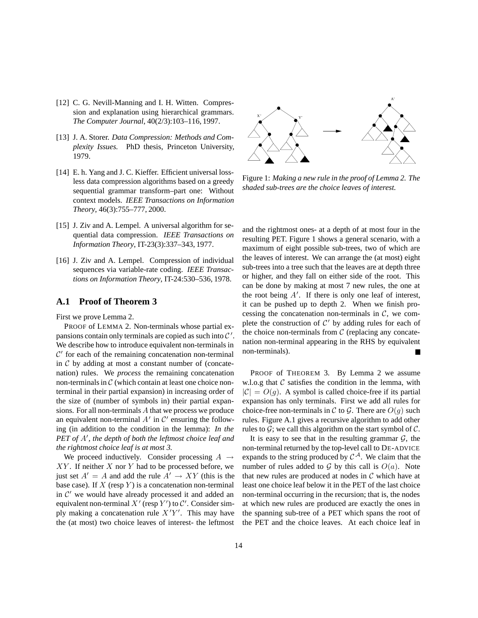- [12] C. G. Nevill-Manning and I. H. Witten. Compression and explanation using hierarchical grammars. *The Computer Journal*, 40(2/3):103–116, 1997.
- [13] J. A. Storer. *Data Compression: Methods and Complexity Issues.* PhD thesis, Princeton University, 1979.
- [14] E. h. Yang and J. C. Kieffer. Efficient universal lossless data compression algorithms based on a greedy sequential grammar transform–part one: Without context models. *IEEE Transactions on Information Theory*, 46(3):755–777, 2000.
- [15] J. Ziv and A. Lempel. A universal algorithm for sequential data compression. *IEEE Transactions on Information Theory*, IT-23(3):337–343, 1977.
- [16] J. Ziv and A. Lempel. Compression of individual sequences via variable-rate coding. *IEEE Transactions on Information Theory*, IT-24:530–536, 1978.

### **A.1 Proof of Theorem 3**

First we prove Lemma 2.

PROOF of LEMMA 2. Non-terminals whose partial expansions contain only terminals are copied as such into  $\mathcal{C}'$ . We describe how to introduce equivalent non-terminals in  $\mathcal{C}'$  for each of the remaining concatenation non-terminal in  $C$  by adding at most a constant number of (concatenation) rules. We *process* the remaining concatenation non-terminals in  $\mathcal C$  (which contain at least one choice nonterminal in their partial expansion) in increasing order of the size of (number of symbols in) their partial expansions. For all non-terminals A that we process we produce an equivalent non-terminal  $A'$  in  $C'$  ensuring the following (in addition to the condition in the lemma): *In the* PET of A', the depth of both the leftmost choice leaf and *the rightmost choice leaf is at most 3.*

We proceed inductively. Consider processing  $A \rightarrow$  $XY$ . If neither X nor Y had to be processed before, we just set  $A' = A$  and add the rule  $A' \rightarrow XY$  (this is the base case). If X (resp. V) is a concatenation non-terminal base case). If  $X$  (resp  $Y$ ) is a concatenation non-terminal in  $\mathcal{C}'$  we would have already processed it and added an equivalent non-terminal  $X'$  (resp  $Y'$ ) to  $\mathcal{C}'$ . Consider simply making a concatenation rule  $X'Y'$ . This may have the (at most) two choice leaves of interest- the leftmost



Figure 1: *Making a new rule in the proof of Lemma 2. The shaded sub-trees are the choice leaves of interest.*

and the rightmost ones- at a depth of at most four in the resulting PET. Figure 1 shows a general scenario, with a maximum of eight possible sub-trees, two of which are the leaves of interest. We can arrange the (at most) eight sub-trees into a tree such that the leaves are at depth three or higher, and they fall on either side of the root. This can be done by making at most 7 new rules, the one at the root being  $A'$ . If there is only one leaf of interest, it can be pushed up to depth 2. When we finish processing the concatenation non-terminals in  $C$ , we complete the construction of  $C'$  by adding rules for each of the choice non-terminals from  $C$  (replacing any concatenation non-terminal appearing in the RHS by equivalent non-terminals).

PROOF of THEOREM 3. By Lemma 2 we assume w.l.o.g that  $C$  satisfies the condition in the lemma, with  $|C| = O(q)$ . A symbol is called choice-free if its partial expansion has only terminals. First we add all rules for choice-free non-terminals in C to G. There are  $O(g)$  such rules. Figure A.1 gives a recursive algorithm to add other rules to  $G$ ; we call this algorithm on the start symbol of  $C$ .

It is easy to see that in the resulting grammar  $G$ , the non-terminal returned by the top-level call to DE-ADVICE expands to the string produced by  $C^{\mathcal{A}}$ . We claim that the number of rules added to  $G$  by this call is  $O(a)$ . Note that new rules are produced at nodes in  $\mathcal C$  which have at least one choice leaf below it in the PET of the last choice non-terminal occurring in the recursion; that is, the nodes at which new rules are produced are exactly the ones in the spanning sub-tree of a PET which spans the root of the PET and the choice leaves. At each choice leaf in